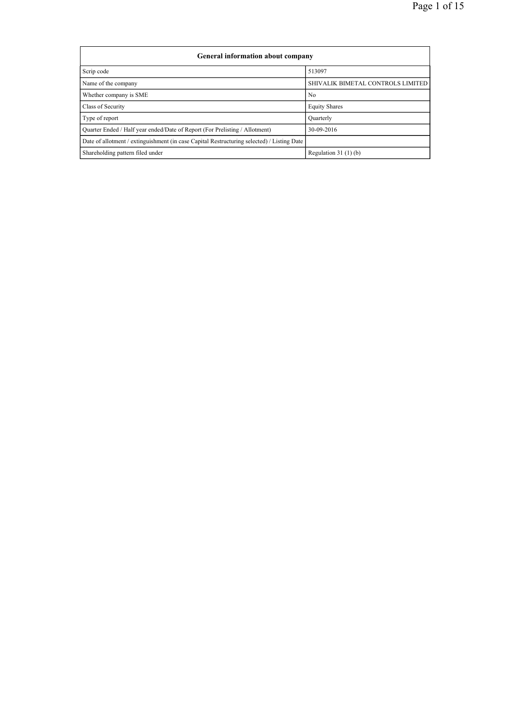| <b>General information about company</b>                                                   |                                   |  |  |  |  |  |  |  |
|--------------------------------------------------------------------------------------------|-----------------------------------|--|--|--|--|--|--|--|
| Scrip code                                                                                 | 513097                            |  |  |  |  |  |  |  |
| Name of the company                                                                        | SHIVALIK BIMETAL CONTROLS LIMITED |  |  |  |  |  |  |  |
| Whether company is SME                                                                     | N <sub>0</sub>                    |  |  |  |  |  |  |  |
| Class of Security                                                                          | <b>Equity Shares</b>              |  |  |  |  |  |  |  |
| Type of report                                                                             | Quarterly                         |  |  |  |  |  |  |  |
| Ouarter Ended / Half year ended/Date of Report (For Prelisting / Allotment)                | 30-09-2016                        |  |  |  |  |  |  |  |
| Date of allotment / extinguishment (in case Capital Restructuring selected) / Listing Date |                                   |  |  |  |  |  |  |  |
| Shareholding pattern filed under                                                           | Regulation $31(1)(b)$             |  |  |  |  |  |  |  |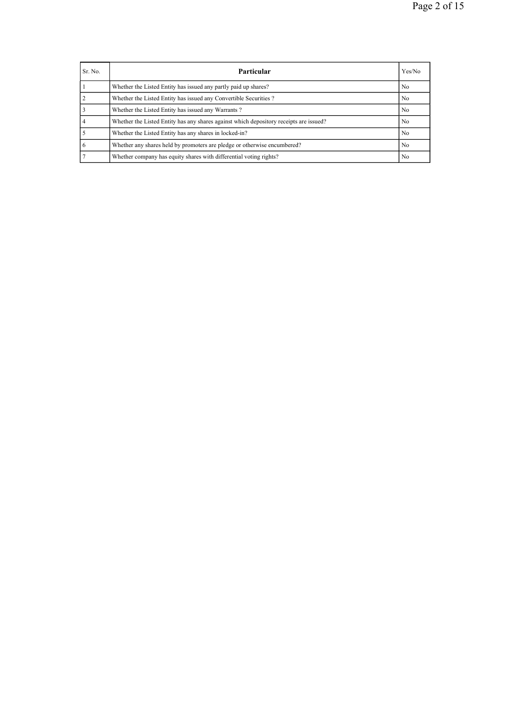| Sr. No. | Particular                                                                             | Yes/No         |
|---------|----------------------------------------------------------------------------------------|----------------|
|         | Whether the Listed Entity has issued any partly paid up shares?                        | No.            |
|         | Whether the Listed Entity has issued any Convertible Securities?                       | No.            |
|         | Whether the Listed Entity has issued any Warrants?                                     | No.            |
|         | Whether the Listed Entity has any shares against which depository receipts are issued? | N <sub>0</sub> |
|         | Whether the Listed Entity has any shares in locked-in?                                 | N <sub>0</sub> |
|         | Whether any shares held by promoters are pledge or otherwise encumbered?               | N <sub>0</sub> |
|         | Whether company has equity shares with differential voting rights?                     | N <sub>0</sub> |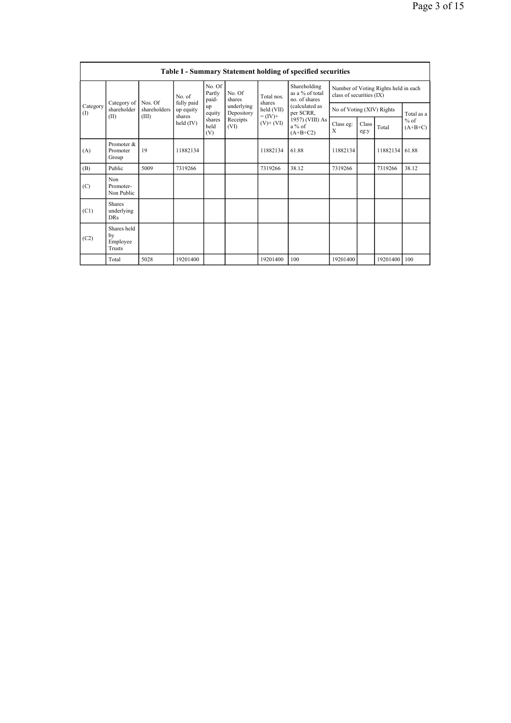| Table I - Summary Statement holding of specified securities |                                           |                                     |                                                                   |                                       |                                                                  |                                                      |                                                                                                                             |                                                                  |               |          |                     |
|-------------------------------------------------------------|-------------------------------------------|-------------------------------------|-------------------------------------------------------------------|---------------------------------------|------------------------------------------------------------------|------------------------------------------------------|-----------------------------------------------------------------------------------------------------------------------------|------------------------------------------------------------------|---------------|----------|---------------------|
|                                                             |                                           | Category of Nos. Of<br>shareholders | No. of<br>fully paid<br>up equity<br>(III)<br>shares<br>held (IV) | No. Of<br>Partly<br>paid-             | No. Of<br>shares<br>underlying<br>Depository<br>Receipts<br>(VI) | Total nos                                            | Shareholding<br>as a % of total<br>no of shares<br>(calculated as<br>per SCRR,<br>1957) (VIII) As<br>$a\%$ of<br>$(A+B+C2)$ | Number of Voting Rights held in each<br>class of securities (IX) |               |          |                     |
| Category<br>(1)                                             | shareholder                               |                                     |                                                                   | up<br>equity<br>shares<br>held<br>(V) |                                                                  | shares<br>held (VII)<br>$= (IV) +$<br>$(V)$ + $(VI)$ |                                                                                                                             | No of Voting (XIV) Rights                                        |               |          | Total as a          |
| (II)                                                        |                                           |                                     |                                                                   |                                       |                                                                  |                                                      |                                                                                                                             | Class eg:<br>X                                                   | Class<br>eg:y | Total    | $%$ of<br>$(A+B+C)$ |
| (A)                                                         | Promoter &<br>Promoter<br>Group           | 19                                  | 11882134                                                          |                                       |                                                                  | 11882134                                             | 61.88                                                                                                                       | 11882134                                                         |               | 11882134 | 61.88               |
| (B)                                                         | Public                                    | 5009                                | 7319266                                                           |                                       |                                                                  | 7319266                                              | 38.12                                                                                                                       | 7319266                                                          |               | 7319266  | 38.12               |
| (C)                                                         | Non<br>Promoter-<br>Non Public            |                                     |                                                                   |                                       |                                                                  |                                                      |                                                                                                                             |                                                                  |               |          |                     |
| (C1)                                                        | <b>Shares</b><br>underlying<br><b>DRs</b> |                                     |                                                                   |                                       |                                                                  |                                                      |                                                                                                                             |                                                                  |               |          |                     |
| (C2)                                                        | Shares held<br>by<br>Employee<br>Trusts   |                                     |                                                                   |                                       |                                                                  |                                                      |                                                                                                                             |                                                                  |               |          |                     |
|                                                             | Total                                     | 5028                                | 19201400                                                          |                                       |                                                                  | 19201400                                             | 100                                                                                                                         | 19201400                                                         |               | 19201400 | 100                 |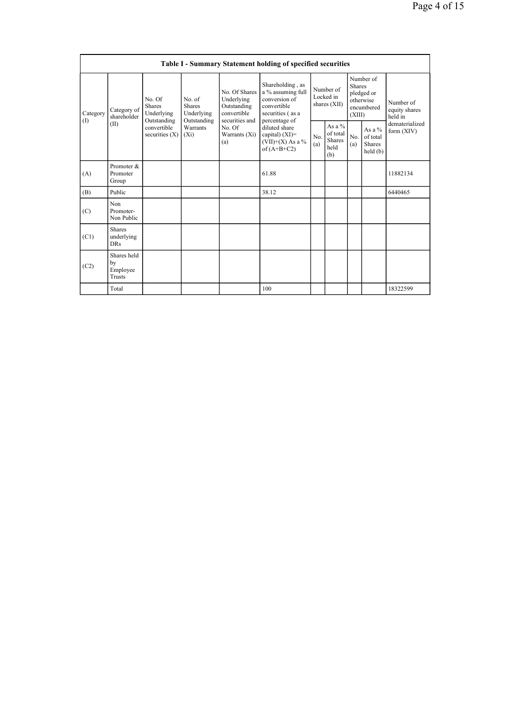|                 | Table I - Summary Statement holding of specified securities |                                                      |                                                                             |                                                                                                                 |                                                                                                            |                                          |                                                      |                                                                               |                                                   |                                       |  |
|-----------------|-------------------------------------------------------------|------------------------------------------------------|-----------------------------------------------------------------------------|-----------------------------------------------------------------------------------------------------------------|------------------------------------------------------------------------------------------------------------|------------------------------------------|------------------------------------------------------|-------------------------------------------------------------------------------|---------------------------------------------------|---------------------------------------|--|
| Category<br>(1) | Category of<br>shareholder<br>(II)                          | No. Of<br><b>Shares</b><br>Underlying<br>Outstanding | No. of<br><b>Shares</b><br>Underlying<br>Outstanding<br>Warrants<br>$(X_i)$ | No. Of Shares<br>Underlying<br>Outstanding<br>convertible<br>securities and<br>No. Of<br>Warrants $(Xi)$<br>(a) | Shareholding, as<br>a % assuming full<br>conversion of<br>convertible<br>securities (as a<br>percentage of | Number of<br>Locked in<br>shares $(XII)$ |                                                      | Number of<br><b>Shares</b><br>pledged or<br>otherwise<br>encumbered<br>(XIII) |                                                   | Number of<br>equity shares<br>held in |  |
|                 |                                                             | convertible<br>securities $(X)$                      |                                                                             |                                                                                                                 | diluted share<br>capital) $(XI)=$<br>$(VII)+(X)$ As a %<br>of $(A+B+C2)$                                   | No.<br>(a)                               | As a $%$<br>of total<br><b>Shares</b><br>held<br>(b) | No.<br>(a)                                                                    | As a $%$<br>of total<br><b>Shares</b><br>held (b) | dematerialized<br>form (XIV)          |  |
| (A)             | Promoter &<br>Promoter<br>Group                             |                                                      |                                                                             |                                                                                                                 | 61.88                                                                                                      |                                          |                                                      |                                                                               |                                                   | 11882134                              |  |
| (B)             | Public                                                      |                                                      |                                                                             |                                                                                                                 | 38.12                                                                                                      |                                          |                                                      |                                                                               |                                                   | 6440465                               |  |
| (C)             | Non<br>Promoter-<br>Non Public                              |                                                      |                                                                             |                                                                                                                 |                                                                                                            |                                          |                                                      |                                                                               |                                                   |                                       |  |
| (C1)            | <b>Shares</b><br>underlying<br><b>DRs</b>                   |                                                      |                                                                             |                                                                                                                 |                                                                                                            |                                          |                                                      |                                                                               |                                                   |                                       |  |
| (C2)            | Shares held<br>by<br>Employee<br>Trusts                     |                                                      |                                                                             |                                                                                                                 |                                                                                                            |                                          |                                                      |                                                                               |                                                   |                                       |  |
|                 | Total                                                       |                                                      |                                                                             |                                                                                                                 | 100                                                                                                        |                                          |                                                      |                                                                               |                                                   | 18322599                              |  |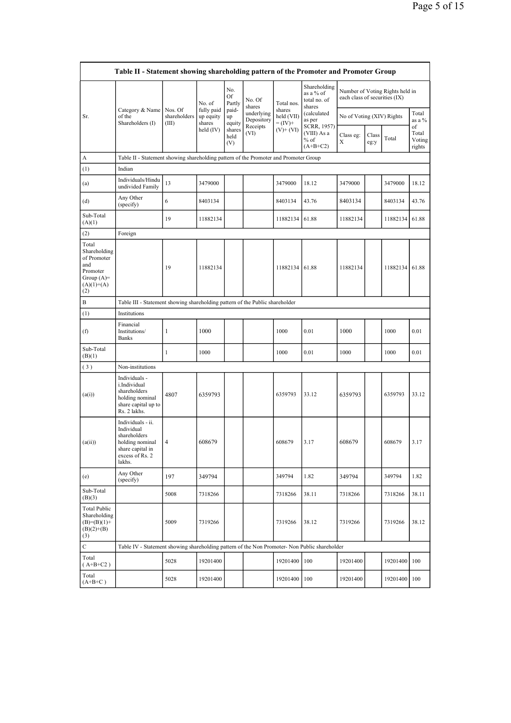|                                                                                                | Table II - Statement showing shareholding pattern of the Promoter and Promoter Group                                |                                  |                                   |                       |                          |                                    |                                                     |                               |               |                                 |                                 |
|------------------------------------------------------------------------------------------------|---------------------------------------------------------------------------------------------------------------------|----------------------------------|-----------------------------------|-----------------------|--------------------------|------------------------------------|-----------------------------------------------------|-------------------------------|---------------|---------------------------------|---------------------------------|
|                                                                                                |                                                                                                                     |                                  | No. of                            | No.<br>Of<br>Partly   | No. Of<br>shares         | Total nos.                         | Shareholding<br>as a % of<br>total no. of<br>shares | each class of securities (IX) |               | Number of Voting Rights held in |                                 |
| Sr.                                                                                            | Category & Name<br>of the<br>Shareholders (I)                                                                       | Nos. Of<br>shareholders<br>(III) | fully paid<br>up equity<br>shares | paid-<br>up<br>equity | underlying<br>Depository | shares<br>held (VII)<br>$= (IV) +$ | (calculated<br>as per                               | No of Voting (XIV) Rights     |               |                                 | Total<br>as a $%$               |
|                                                                                                |                                                                                                                     |                                  | held (IV)                         | shares<br>held<br>(V) | Receipts<br>(VI)         | $(V)$ + $(VI)$                     | SCRR, 1957)<br>(VIII) As a<br>$%$ of<br>$(A+B+C2)$  | Class eg:<br>X                | Class<br>eg:y | Total                           | of<br>Total<br>Voting<br>rights |
| A                                                                                              | Table II - Statement showing shareholding pattern of the Promoter and Promoter Group                                |                                  |                                   |                       |                          |                                    |                                                     |                               |               |                                 |                                 |
| (1)                                                                                            | Indian                                                                                                              |                                  |                                   |                       |                          |                                    |                                                     |                               |               |                                 |                                 |
| (a)                                                                                            | Individuals/Hindu<br>undivided Family                                                                               | 13                               | 3479000                           |                       |                          | 3479000                            | 18.12                                               | 3479000                       |               | 3479000                         | 18.12                           |
| (d)                                                                                            | Any Other<br>(specify)                                                                                              | 6                                | 8403134                           |                       |                          | 8403134                            | 43.76                                               | 8403134                       |               | 8403134                         | 43.76                           |
| Sub-Total<br>(A)(1)                                                                            |                                                                                                                     | 19                               | 11882134                          |                       |                          | 11882134                           | 61.88                                               | 11882134                      |               | 11882134                        | 61.88                           |
| (2)                                                                                            | Foreign                                                                                                             |                                  |                                   |                       |                          |                                    |                                                     |                               |               |                                 |                                 |
| Total<br>Shareholding<br>of Promoter<br>and<br>Promoter<br>Group $(A)=$<br>$(A)(1)+(A)$<br>(2) |                                                                                                                     | 19                               | 11882134                          |                       |                          | 11882134                           | 61.88                                               | 11882134                      |               | 11882134                        | 61.88                           |
| B                                                                                              | Table III - Statement showing shareholding pattern of the Public shareholder                                        |                                  |                                   |                       |                          |                                    |                                                     |                               |               |                                 |                                 |
| (1)                                                                                            | Institutions                                                                                                        |                                  |                                   |                       |                          |                                    |                                                     |                               |               |                                 |                                 |
| (f)                                                                                            | Financial<br>Institutions/<br><b>Banks</b>                                                                          | $\mathbf{1}$                     | 1000                              |                       |                          | 1000                               | 0.01                                                | 1000                          |               | 1000                            | 0.01                            |
| Sub-Total<br>(B)(1)                                                                            |                                                                                                                     | 1                                | 1000                              |                       |                          | 1000                               | 0.01                                                | 1000                          |               | 1000                            | 0.01                            |
| (3)                                                                                            | Non-institutions                                                                                                    |                                  |                                   |                       |                          |                                    |                                                     |                               |               |                                 |                                 |
| (a(i))                                                                                         | Individuals -<br>i.Individual<br>shareholders<br>holding nominal<br>share capital up to<br>Rs. 2 lakhs.             | 4807                             | 6359793                           |                       |                          | 6359793                            | 33.12                                               | 6359793                       |               | 6359793                         | 33.12                           |
| (a(ii))                                                                                        | Individuals - ii.<br>Individual<br>shareholders<br>holding nominal<br>share capital in<br>excess of Rs. 2<br>lakhs. | $\overline{4}$                   | 608679                            |                       |                          | 608679                             | 3.17                                                | 608679                        |               | 608679                          | 3.17                            |
| (e)                                                                                            | Any Other<br>(specify)                                                                                              | 197                              | 349794                            |                       |                          | 349794                             | 1.82                                                | 349794                        |               | 349794                          | 1.82                            |
| Sub-Total<br>(B)(3)                                                                            |                                                                                                                     | 5008                             | 7318266                           |                       |                          | 7318266                            | 38.11                                               | 7318266                       |               | 7318266                         | 38.11                           |
| <b>Total Public</b><br>Shareholding<br>$(B)=(B)(1)+$<br>$(B)(2)+(B)$<br>(3)                    |                                                                                                                     | 5009                             | 7319266                           |                       |                          | 7319266                            | 38.12                                               | 7319266                       |               | 7319266                         | 38.12                           |
| $\mathbf C$                                                                                    | Table IV - Statement showing shareholding pattern of the Non Promoter- Non Public shareholder                       |                                  |                                   |                       |                          |                                    |                                                     |                               |               |                                 |                                 |
| Total<br>$(A+B+C2)$                                                                            |                                                                                                                     | 5028                             | 19201400                          |                       |                          | 19201400                           | 100                                                 | 19201400                      |               | 19201400                        | 100                             |
| Total<br>$(A+B+C)$                                                                             |                                                                                                                     | 5028                             | 19201400                          |                       |                          | 19201400                           | 100                                                 | 19201400                      |               | 19201400 100                    |                                 |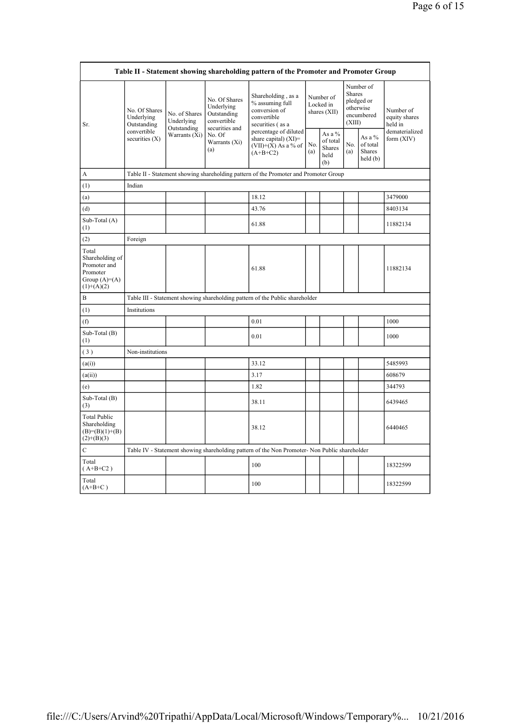| Table II - Statement showing shareholding pattern of the Promoter and Promoter Group   |                                                                               |                                                             |                                                                                                               |                                                                                               |                                        |                                                    |                                                                               |                                                |                                       |  |
|----------------------------------------------------------------------------------------|-------------------------------------------------------------------------------|-------------------------------------------------------------|---------------------------------------------------------------------------------------------------------------|-----------------------------------------------------------------------------------------------|----------------------------------------|----------------------------------------------------|-------------------------------------------------------------------------------|------------------------------------------------|---------------------------------------|--|
| Sr.                                                                                    | No. Of Shares<br>Underlying<br>Outstanding<br>convertible<br>securities $(X)$ | No. of Shares<br>Underlying<br>Outstanding<br>Warrants (Xi) | No. Of Shares<br>Underlying<br>Outstanding<br>convertible<br>securities and<br>No. Of<br>Warrants (Xi)<br>(a) | Shareholding, as a<br>% assuming full<br>conversion of<br>convertible<br>securities (as a     | Number of<br>Locked in<br>shares (XII) |                                                    | Number of<br><b>Shares</b><br>pledged or<br>otherwise<br>encumbered<br>(XIII) |                                                | Number of<br>equity shares<br>held in |  |
|                                                                                        |                                                                               |                                                             |                                                                                                               | percentage of diluted<br>share capital) $(XI)$ =<br>$(VII)+(X)$ As a % of<br>$(A+B+C2)$       | No.<br>(a)                             | As a %<br>of total<br><b>Shares</b><br>held<br>(b) | No.<br>(a)                                                                    | As a %<br>of total<br><b>Shares</b><br>held(b) | dematerialized<br>form $(XIV)$        |  |
| A                                                                                      |                                                                               |                                                             |                                                                                                               | Table II - Statement showing shareholding pattern of the Promoter and Promoter Group          |                                        |                                                    |                                                                               |                                                |                                       |  |
| (1)                                                                                    | Indian                                                                        |                                                             |                                                                                                               |                                                                                               |                                        |                                                    |                                                                               |                                                |                                       |  |
| (a)                                                                                    |                                                                               |                                                             |                                                                                                               | 18.12                                                                                         |                                        |                                                    |                                                                               |                                                | 3479000                               |  |
| (d)                                                                                    |                                                                               |                                                             |                                                                                                               | 43.76                                                                                         |                                        |                                                    |                                                                               |                                                | 8403134                               |  |
| Sub-Total (A)<br>(1)                                                                   |                                                                               |                                                             |                                                                                                               | 61.88                                                                                         |                                        |                                                    |                                                                               |                                                | 11882134                              |  |
| (2)                                                                                    | Foreign                                                                       |                                                             |                                                                                                               |                                                                                               |                                        |                                                    |                                                                               |                                                |                                       |  |
| Total<br>Shareholding of<br>Promoter and<br>Promoter<br>Group $(A)=A)$<br>$(1)+(A)(2)$ |                                                                               |                                                             |                                                                                                               | 61.88                                                                                         |                                        |                                                    |                                                                               |                                                | 11882134                              |  |
| B                                                                                      |                                                                               |                                                             |                                                                                                               | Table III - Statement showing shareholding pattern of the Public shareholder                  |                                        |                                                    |                                                                               |                                                |                                       |  |
| (1)                                                                                    | Institutions                                                                  |                                                             |                                                                                                               |                                                                                               |                                        |                                                    |                                                                               |                                                |                                       |  |
| (f)                                                                                    |                                                                               |                                                             |                                                                                                               | 0.01                                                                                          |                                        |                                                    |                                                                               |                                                | 1000                                  |  |
| Sub-Total (B)<br>(1)                                                                   |                                                                               |                                                             |                                                                                                               | 0.01                                                                                          |                                        |                                                    |                                                                               |                                                | 1000                                  |  |
| (3)                                                                                    | Non-institutions                                                              |                                                             |                                                                                                               |                                                                                               |                                        |                                                    |                                                                               |                                                |                                       |  |
| (a(i))                                                                                 |                                                                               |                                                             |                                                                                                               | 33.12                                                                                         |                                        |                                                    |                                                                               |                                                | 5485993                               |  |
| (a(ii))                                                                                |                                                                               |                                                             |                                                                                                               | 3.17                                                                                          |                                        |                                                    |                                                                               |                                                | 608679                                |  |
| (e)                                                                                    |                                                                               |                                                             |                                                                                                               | 1.82                                                                                          |                                        |                                                    |                                                                               |                                                | 344793                                |  |
| Sub-Total (B)<br>(3)                                                                   |                                                                               |                                                             |                                                                                                               | 38.11                                                                                         |                                        |                                                    |                                                                               |                                                | 6439465                               |  |
| <b>Total Public</b><br>Shareholding<br>$(B)= (B)(1)+(B)$<br>$(2)+(B)(3)$               |                                                                               |                                                             |                                                                                                               | 38.12                                                                                         |                                        |                                                    |                                                                               |                                                | 6440465                               |  |
| $\mathbf C$                                                                            |                                                                               |                                                             |                                                                                                               | Table IV - Statement showing shareholding pattern of the Non Promoter- Non Public shareholder |                                        |                                                    |                                                                               |                                                |                                       |  |
| Total<br>$(A+B+C2)$                                                                    |                                                                               |                                                             |                                                                                                               | 100                                                                                           |                                        |                                                    |                                                                               |                                                | 18322599                              |  |
| Total<br>$(A+B+C)$                                                                     |                                                                               |                                                             |                                                                                                               | 100                                                                                           |                                        |                                                    |                                                                               |                                                | 18322599                              |  |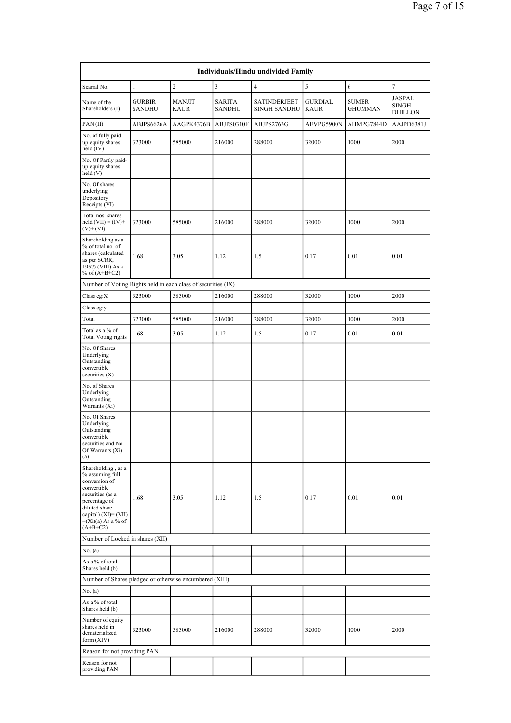| Individuals/Hindu undivided Family                                                                                                                                                        |                                |                              |                                |                                     |                        |                                |                                          |  |  |  |
|-------------------------------------------------------------------------------------------------------------------------------------------------------------------------------------------|--------------------------------|------------------------------|--------------------------------|-------------------------------------|------------------------|--------------------------------|------------------------------------------|--|--|--|
| Searial No.                                                                                                                                                                               | $\mathbf{1}$                   | $\overline{c}$               | $\overline{\mathbf{3}}$        | $\overline{4}$                      | 5                      | 6                              | $\tau$                                   |  |  |  |
| Name of the<br>Shareholders (I)                                                                                                                                                           | <b>GURBIR</b><br><b>SANDHU</b> | <b>MANJIT</b><br><b>KAUR</b> | <b>SARITA</b><br><b>SANDHU</b> | SATINDERJEET<br><b>SINGH SANDHU</b> | GURDIAL<br><b>KAUR</b> | <b>SUMER</b><br><b>GHUMMAN</b> | JASPAL<br><b>SINGH</b><br><b>DHILLON</b> |  |  |  |
| PAN(II)                                                                                                                                                                                   | ABJPS6626A                     | AAGPK4376B                   | ABJPS0310F                     | ABJPS2763G                          | AEVPG5900N             | AHMPG7844D                     | AAJPD6381J                               |  |  |  |
| No. of fully paid<br>up equity shares<br>held (IV)                                                                                                                                        | 323000                         | 585000                       | 216000                         | 288000                              | 32000                  | 1000                           | 2000                                     |  |  |  |
| No. Of Partly paid-<br>up equity shares<br>held(V)                                                                                                                                        |                                |                              |                                |                                     |                        |                                |                                          |  |  |  |
| No. Of shares<br>underlying<br>Depository<br>Receipts (VI)                                                                                                                                |                                |                              |                                |                                     |                        |                                |                                          |  |  |  |
| Total nos. shares<br>held $(VII) = (IV) +$<br>$(V)$ + $(VI)$                                                                                                                              | 323000                         | 585000                       | 216000                         | 288000                              | 32000                  | 1000                           | 2000                                     |  |  |  |
| Shareholding as a<br>% of total no. of<br>shares (calculated<br>as per SCRR,<br>1957) (VIII) As a<br>% of $(A+B+C2)$                                                                      | 1.68                           | 3.05                         | 1.12                           | 1.5                                 | 0.17                   | 0.01                           | 0.01                                     |  |  |  |
| Number of Voting Rights held in each class of securities (IX)                                                                                                                             |                                |                              |                                |                                     |                        |                                |                                          |  |  |  |
| Class eg: $X$                                                                                                                                                                             | 323000                         | 585000                       | 216000                         | 288000                              | 32000                  | 1000                           | 2000                                     |  |  |  |
| Class eg:y                                                                                                                                                                                |                                |                              |                                |                                     |                        |                                |                                          |  |  |  |
| Total                                                                                                                                                                                     | 323000                         | 585000                       | 216000                         | 288000                              | 32000                  | 1000                           | 2000                                     |  |  |  |
| Total as a % of<br><b>Total Voting rights</b>                                                                                                                                             | 1.68                           | 3.05                         | 1.12                           | 1.5                                 | 0.17                   | 0.01                           | 0.01                                     |  |  |  |
| No. Of Shares<br>Underlying<br>Outstanding<br>convertible<br>securities $(X)$                                                                                                             |                                |                              |                                |                                     |                        |                                |                                          |  |  |  |
| No. of Shares<br>Underlying<br>Outstanding<br>Warrants (Xi)                                                                                                                               |                                |                              |                                |                                     |                        |                                |                                          |  |  |  |
| No. Of Shares<br>Underlying<br>Outstanding<br>convertible<br>securities and No.<br>Of Warrants $(Xi)$<br>(a)                                                                              |                                |                              |                                |                                     |                        |                                |                                          |  |  |  |
| Shareholding, as a<br>% assuming full<br>conversion of<br>convertible<br>securities (as a<br>percentage of<br>diluted share<br>capital) (XI)= (VII)<br>$+(Xi)(a)$ As a % of<br>$(A+B+C2)$ | 1.68                           | 3.05                         | 1.12                           | 1.5                                 | 0.17                   | 0.01                           | 0.01                                     |  |  |  |
| Number of Locked in shares (XII)                                                                                                                                                          |                                |                              |                                |                                     |                        |                                |                                          |  |  |  |
| No. $(a)$                                                                                                                                                                                 |                                |                              |                                |                                     |                        |                                |                                          |  |  |  |
| As a % of total<br>Shares held (b)                                                                                                                                                        |                                |                              |                                |                                     |                        |                                |                                          |  |  |  |
| Number of Shares pledged or otherwise encumbered (XIII)                                                                                                                                   |                                |                              |                                |                                     |                        |                                |                                          |  |  |  |
| No. $(a)$                                                                                                                                                                                 |                                |                              |                                |                                     |                        |                                |                                          |  |  |  |
| As a % of total<br>Shares held (b)                                                                                                                                                        |                                |                              |                                |                                     |                        |                                |                                          |  |  |  |
| Number of equity<br>shares held in<br>dematerialized<br>form (XIV)                                                                                                                        | 323000                         | 585000                       | 216000                         | 288000                              | 32000                  | 1000                           | 2000                                     |  |  |  |
| Reason for not providing PAN                                                                                                                                                              |                                |                              |                                |                                     |                        |                                |                                          |  |  |  |
| Reason for not<br>providing PAN                                                                                                                                                           |                                |                              |                                |                                     |                        |                                |                                          |  |  |  |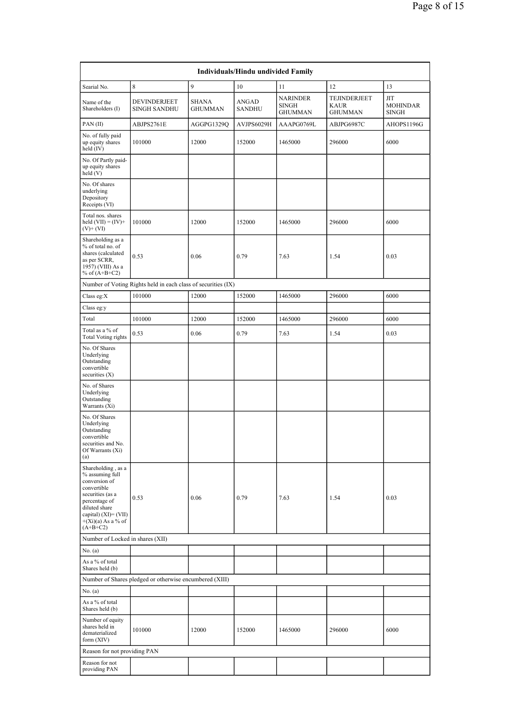|                                                                                                                                                                                           | Individuals/Hindu undivided Family                            |                                |                        |                                                   |                                               |                                       |  |  |  |  |  |
|-------------------------------------------------------------------------------------------------------------------------------------------------------------------------------------------|---------------------------------------------------------------|--------------------------------|------------------------|---------------------------------------------------|-----------------------------------------------|---------------------------------------|--|--|--|--|--|
| Searial No.                                                                                                                                                                               | 8                                                             | 9                              | 10                     | 11                                                | 12                                            | 13                                    |  |  |  |  |  |
| Name of the<br>Shareholders (I)                                                                                                                                                           | DEVINDERJEET<br><b>SINGH SANDHU</b>                           | <b>SHANA</b><br><b>GHUMMAN</b> | ANGAD<br><b>SANDHU</b> | <b>NARINDER</b><br><b>SINGH</b><br><b>GHUMMAN</b> | TEJINDERJEET<br><b>KAUR</b><br><b>GHUMMAN</b> | ЛT<br><b>MOHINDAR</b><br><b>SINGH</b> |  |  |  |  |  |
| PAN(II)                                                                                                                                                                                   | ABJPS2761E                                                    | AGGPG1329Q                     | AVJPS6029H             | AAAPG0769L                                        | ABJPG6987C                                    | AHOPS1196G                            |  |  |  |  |  |
| No. of fully paid<br>up equity shares<br>held $(IV)$                                                                                                                                      | 101000                                                        | 12000                          | 152000                 | 1465000                                           | 296000                                        | 6000                                  |  |  |  |  |  |
| No. Of Partly paid-<br>up equity shares<br>held(V)                                                                                                                                        |                                                               |                                |                        |                                                   |                                               |                                       |  |  |  |  |  |
| No. Of shares<br>underlying<br>Depository<br>Receipts (VI)                                                                                                                                |                                                               |                                |                        |                                                   |                                               |                                       |  |  |  |  |  |
| Total nos. shares<br>held $(VII) = (IV) +$<br>$(V)$ + $(VI)$                                                                                                                              | 101000                                                        | 12000                          | 152000                 | 1465000                                           | 296000                                        | 6000                                  |  |  |  |  |  |
| Shareholding as a<br>% of total no. of<br>shares (calculated<br>as per SCRR,<br>1957) (VIII) As a<br>% of $(A+B+C2)$                                                                      | 0.53                                                          | 0.06                           | 0.79                   | 7.63                                              | 1.54                                          | 0.03                                  |  |  |  |  |  |
|                                                                                                                                                                                           | Number of Voting Rights held in each class of securities (IX) |                                |                        |                                                   |                                               |                                       |  |  |  |  |  |
| Class eg: $X$                                                                                                                                                                             | 101000                                                        | 12000                          | 152000                 | 1465000                                           | 296000                                        | 6000                                  |  |  |  |  |  |
| Class eg:y                                                                                                                                                                                |                                                               |                                |                        |                                                   |                                               |                                       |  |  |  |  |  |
| Total<br>Total as a % of                                                                                                                                                                  | 101000                                                        | 12000                          | 152000                 | 1465000                                           | 296000                                        | 6000                                  |  |  |  |  |  |
| <b>Total Voting rights</b>                                                                                                                                                                | 0.53                                                          | 0.06                           | 0.79                   | 7.63                                              | 1.54                                          | 0.03                                  |  |  |  |  |  |
| No. Of Shares<br>Underlying<br>Outstanding<br>convertible<br>securities $(X)$                                                                                                             |                                                               |                                |                        |                                                   |                                               |                                       |  |  |  |  |  |
| No. of Shares<br>Underlying<br>Outstanding<br>Warrants (Xi)                                                                                                                               |                                                               |                                |                        |                                                   |                                               |                                       |  |  |  |  |  |
| No. Of Shares<br>Underlying<br>Outstanding<br>convertible<br>securities and No.<br>Of Warrants $(Xi)$<br>(a)                                                                              |                                                               |                                |                        |                                                   |                                               |                                       |  |  |  |  |  |
| Shareholding, as a<br>% assuming full<br>conversion of<br>convertible<br>securities (as a<br>percentage of<br>diluted share<br>capital) (XI)= (VII)<br>$+(Xi)(a)$ As a % of<br>$(A+B+C2)$ | 0.53                                                          | 0.06                           | 0.79                   | 7.63                                              | 1.54                                          | 0.03                                  |  |  |  |  |  |
| Number of Locked in shares (XII)                                                                                                                                                          |                                                               |                                |                        |                                                   |                                               |                                       |  |  |  |  |  |
| No. $(a)$                                                                                                                                                                                 |                                                               |                                |                        |                                                   |                                               |                                       |  |  |  |  |  |
| As a % of total<br>Shares held (b)                                                                                                                                                        |                                                               |                                |                        |                                                   |                                               |                                       |  |  |  |  |  |
|                                                                                                                                                                                           | Number of Shares pledged or otherwise encumbered (XIII)       |                                |                        |                                                   |                                               |                                       |  |  |  |  |  |
| No. $(a)$                                                                                                                                                                                 |                                                               |                                |                        |                                                   |                                               |                                       |  |  |  |  |  |
| As a % of total<br>Shares held (b)                                                                                                                                                        |                                                               |                                |                        |                                                   |                                               |                                       |  |  |  |  |  |
| Number of equity<br>shares held in<br>dematerialized<br>form (XIV)                                                                                                                        | 101000                                                        | 12000                          | 152000                 | 1465000                                           | 296000                                        | 6000                                  |  |  |  |  |  |
| Reason for not providing PAN                                                                                                                                                              |                                                               |                                |                        |                                                   |                                               |                                       |  |  |  |  |  |
| Reason for not<br>providing PAN                                                                                                                                                           |                                                               |                                |                        |                                                   |                                               |                                       |  |  |  |  |  |
|                                                                                                                                                                                           |                                                               |                                |                        |                                                   |                                               |                                       |  |  |  |  |  |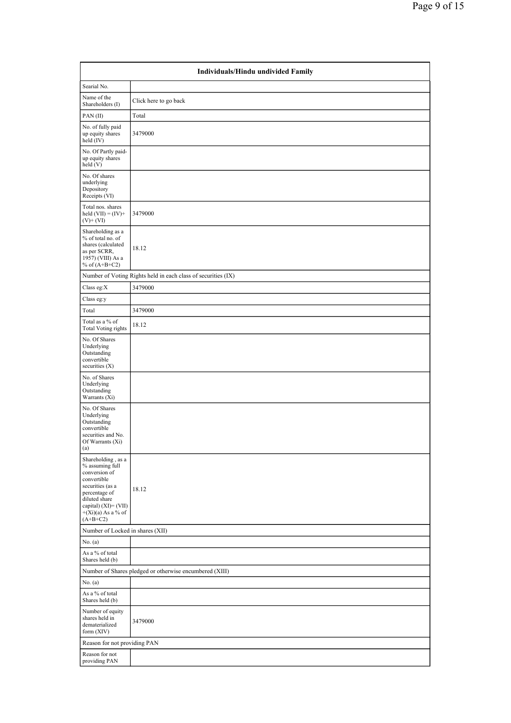|                                                                                                                                                                                           | Individuals/Hindu undivided Family                            |
|-------------------------------------------------------------------------------------------------------------------------------------------------------------------------------------------|---------------------------------------------------------------|
| Searial No.                                                                                                                                                                               |                                                               |
| Name of the<br>Shareholders (I)                                                                                                                                                           | Click here to go back                                         |
| PAN(II)                                                                                                                                                                                   | Total                                                         |
| No. of fully paid<br>up equity shares<br>held (IV)                                                                                                                                        | 3479000                                                       |
| No. Of Partly paid-<br>up equity shares<br>held (V)                                                                                                                                       |                                                               |
| No. Of shares<br>underlying<br>Depository<br>Receipts (VI)                                                                                                                                |                                                               |
| Total nos. shares<br>held $(VII) = (IV) +$<br>$(V)$ + $(VI)$                                                                                                                              | 3479000                                                       |
| Shareholding as a<br>% of total no. of<br>shares (calculated<br>as per SCRR,<br>1957) (VIII) As a<br>% of $(A+B+C2)$                                                                      | 18.12                                                         |
|                                                                                                                                                                                           | Number of Voting Rights held in each class of securities (IX) |
| Class eg: $X$                                                                                                                                                                             | 3479000                                                       |
| Class eg:y                                                                                                                                                                                |                                                               |
| Total                                                                                                                                                                                     | 3479000                                                       |
| Total as a % of<br><b>Total Voting rights</b>                                                                                                                                             | 18.12                                                         |
| No. Of Shares<br>Underlying<br>Outstanding<br>convertible<br>securities $(X)$                                                                                                             |                                                               |
| No. of Shares<br>Underlying<br>Outstanding<br>Warrants (Xi)                                                                                                                               |                                                               |
| No. Of Shares<br>Underlying<br>Outstanding<br>convertible<br>securities and No.<br>Of Warrants (Xi)<br>(a)                                                                                |                                                               |
| Shareholding, as a<br>% assuming full<br>conversion of<br>convertible<br>securities (as a<br>percentage of<br>diluted share<br>capital) (XI)= (VII)<br>$+(Xi)(a)$ As a % of<br>$(A+B+C2)$ | 18.12                                                         |
| Number of Locked in shares (XII)                                                                                                                                                          |                                                               |
| No. (a)                                                                                                                                                                                   |                                                               |
| As a $\%$ of total<br>Shares held (b)                                                                                                                                                     |                                                               |
|                                                                                                                                                                                           | Number of Shares pledged or otherwise encumbered (XIII)       |
| No. (a)<br>As a % of total                                                                                                                                                                |                                                               |
| Shares held (b)<br>Number of equity<br>shares held in<br>dematerialized<br>form (XIV)                                                                                                     | 3479000                                                       |
| Reason for not providing PAN                                                                                                                                                              |                                                               |
| Reason for not<br>providing PAN                                                                                                                                                           |                                                               |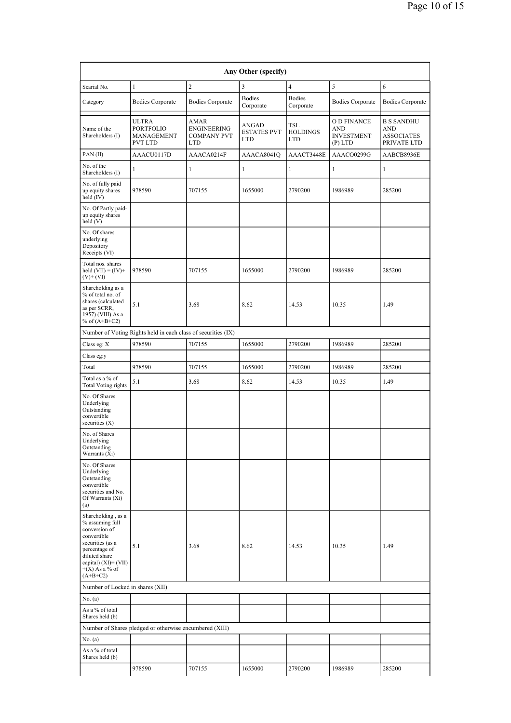| Any Other (specify)                                                                                                                                                                   |                                                                  |                                                                |                                           |                                      |                                                             |                                                              |  |  |  |  |
|---------------------------------------------------------------------------------------------------------------------------------------------------------------------------------------|------------------------------------------------------------------|----------------------------------------------------------------|-------------------------------------------|--------------------------------------|-------------------------------------------------------------|--------------------------------------------------------------|--|--|--|--|
| Searial No.                                                                                                                                                                           | $\mathbf{1}$                                                     | $\overline{c}$                                                 | 3                                         | $\overline{4}$                       | 5                                                           | 6                                                            |  |  |  |  |
| Category                                                                                                                                                                              | <b>Bodies Corporate</b>                                          | <b>Bodies Corporate</b>                                        | <b>Bodies</b><br>Corporate                | <b>Bodies</b><br>Corporate           | <b>Bodies Corporate</b>                                     | <b>Bodies Corporate</b>                                      |  |  |  |  |
| Name of the<br>Shareholders (I)                                                                                                                                                       | <b>ULTRA</b><br><b>PORTFOLIO</b><br>MANAGEMENT<br><b>PVT LTD</b> | <b>AMAR</b><br><b>ENGINEERING</b><br><b>COMPANY PVT</b><br>LTD | ANGAD<br><b>ESTATES PVT</b><br><b>LTD</b> | <b>TSL</b><br><b>HOLDINGS</b><br>LTD | O D FINANCE<br><b>AND</b><br><b>INVESTMENT</b><br>$(P)$ LTD | <b>B S SANDHU</b><br>AND<br><b>ASSOCIATES</b><br>PRIVATE LTD |  |  |  |  |
| PAN(II)                                                                                                                                                                               | AAACU0117D                                                       | AAACA0214F                                                     | AAACA8041Q                                | AAACT3448E                           | AAACO0299G                                                  | AABCB8936E                                                   |  |  |  |  |
| No. of the<br>Shareholders (I)                                                                                                                                                        | 1                                                                | $\mathbf{1}$                                                   | $\mathbf{1}$                              | 1                                    | $\mathbf{1}$                                                | 1                                                            |  |  |  |  |
| No. of fully paid<br>up equity shares<br>held (IV)                                                                                                                                    | 978590                                                           | 707155                                                         | 1655000                                   | 2790200                              | 1986989                                                     | 285200                                                       |  |  |  |  |
| No. Of Partly paid-<br>up equity shares<br>held(V)                                                                                                                                    |                                                                  |                                                                |                                           |                                      |                                                             |                                                              |  |  |  |  |
| No. Of shares<br>underlying<br>Depository<br>Receipts (VI)                                                                                                                            |                                                                  |                                                                |                                           |                                      |                                                             |                                                              |  |  |  |  |
| Total nos. shares<br>held $(VII) = (IV) +$<br>$(V)$ + $(VI)$                                                                                                                          | 978590                                                           | 707155                                                         | 1655000                                   | 2790200                              | 1986989                                                     | 285200                                                       |  |  |  |  |
| Shareholding as a<br>% of total no. of<br>shares (calculated<br>as per SCRR,<br>1957) (VIII) As a<br>% of $(A+B+C2)$                                                                  | 5.1                                                              | 3.68                                                           | 8.62                                      | 14.53                                | 10.35                                                       | 1.49                                                         |  |  |  |  |
|                                                                                                                                                                                       | Number of Voting Rights held in each class of securities (IX)    |                                                                |                                           |                                      |                                                             |                                                              |  |  |  |  |
| Class eg: X                                                                                                                                                                           | 978590                                                           | 707155                                                         | 1655000                                   | 2790200                              | 1986989                                                     | 285200                                                       |  |  |  |  |
| Class eg:y                                                                                                                                                                            |                                                                  |                                                                |                                           |                                      |                                                             |                                                              |  |  |  |  |
| Total                                                                                                                                                                                 | 978590                                                           | 707155                                                         | 1655000                                   | 2790200                              | 1986989                                                     | 285200                                                       |  |  |  |  |
| Total as a % of<br><b>Total Voting rights</b>                                                                                                                                         | 5.1                                                              | 3.68                                                           | 8.62                                      | 14.53                                | 10.35                                                       | 1.49                                                         |  |  |  |  |
| No. Of Shares<br>Underlying<br>Outstanding<br>convertible<br>securities $(X)$                                                                                                         |                                                                  |                                                                |                                           |                                      |                                                             |                                                              |  |  |  |  |
| No. of Shares<br>Underlying<br>Outstanding<br>Warrants (Xi)                                                                                                                           |                                                                  |                                                                |                                           |                                      |                                                             |                                                              |  |  |  |  |
| No. Of Shares<br>Underlying<br>Outstanding<br>convertible<br>securities and No.<br>Of Warrants (Xi)<br>(a)                                                                            |                                                                  |                                                                |                                           |                                      |                                                             |                                                              |  |  |  |  |
| Shareholding, as a<br>% assuming full<br>conversion of<br>convertible<br>securities (as a<br>percentage of<br>diluted share<br>capital) (XI)= (VII)<br>$+(X)$ As a % of<br>$(A+B+C2)$ | 5.1                                                              | 3.68                                                           | 8.62                                      | 14.53                                | 10.35                                                       | 1.49                                                         |  |  |  |  |
| Number of Locked in shares (XII)                                                                                                                                                      |                                                                  |                                                                |                                           |                                      |                                                             |                                                              |  |  |  |  |
| No. (a)                                                                                                                                                                               |                                                                  |                                                                |                                           |                                      |                                                             |                                                              |  |  |  |  |
| As a % of total<br>Shares held (b)                                                                                                                                                    |                                                                  |                                                                |                                           |                                      |                                                             |                                                              |  |  |  |  |
|                                                                                                                                                                                       | Number of Shares pledged or otherwise encumbered (XIII)          |                                                                |                                           |                                      |                                                             |                                                              |  |  |  |  |
| No. (a)                                                                                                                                                                               |                                                                  |                                                                |                                           |                                      |                                                             |                                                              |  |  |  |  |
| As a % of total<br>Shares held (b)                                                                                                                                                    |                                                                  |                                                                |                                           |                                      |                                                             |                                                              |  |  |  |  |
|                                                                                                                                                                                       | 978590                                                           | 707155                                                         | 1655000                                   | 2790200                              | 1986989                                                     | 285200                                                       |  |  |  |  |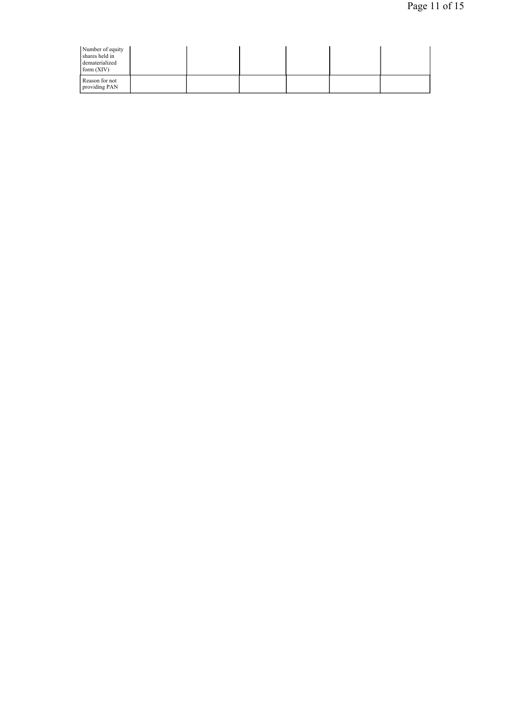| Number of equity<br>shares held in<br>dematerialized<br>form $(XIV)$ |  |  |  |
|----------------------------------------------------------------------|--|--|--|
| Reason for not<br>providing PAN                                      |  |  |  |